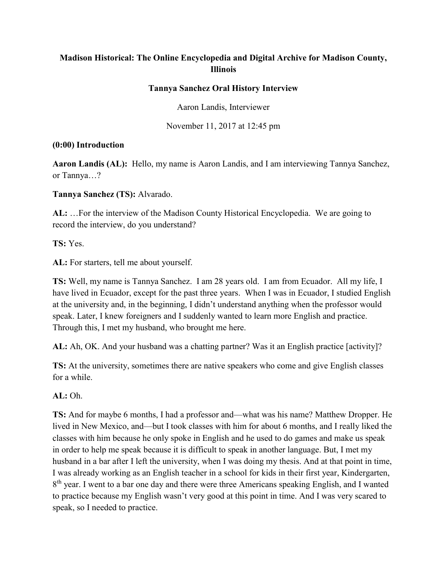# **Madison Historical: The Online Encyclopedia and Digital Archive for Madison County, Illinois**

#### **Tannya Sanchez Oral History Interview**

Aaron Landis, Interviewer

November 11, 2017 at 12:45 pm

#### **(0:00) Introduction**

**Aaron Landis (AL):** Hello, my name is Aaron Landis, and I am interviewing Tannya Sanchez, or Tannya…?

**Tannya Sanchez (TS):** Alvarado.

**AL:** …For the interview of the Madison County Historical Encyclopedia. We are going to record the interview, do you understand?

**TS:** Yes.

**AL:** For starters, tell me about yourself.

**TS:** Well, my name is Tannya Sanchez. I am 28 years old. I am from Ecuador. All my life, I have lived in Ecuador, except for the past three years. When I was in Ecuador, I studied English at the university and, in the beginning, I didn't understand anything when the professor would speak. Later, I knew foreigners and I suddenly wanted to learn more English and practice. Through this, I met my husband, who brought me here.

**AL:** Ah, OK. And your husband was a chatting partner? Was it an English practice [activity]?

**TS:** At the university, sometimes there are native speakers who come and give English classes for a while.

**AL:** Oh.

**TS:** And for maybe 6 months, I had a professor and—what was his name? Matthew Dropper. He lived in New Mexico, and—but I took classes with him for about 6 months, and I really liked the classes with him because he only spoke in English and he used to do games and make us speak in order to help me speak because it is difficult to speak in another language. But, I met my husband in a bar after I left the university, when I was doing my thesis. And at that point in time, I was already working as an English teacher in a school for kids in their first year, Kindergarten, 8<sup>th</sup> year. I went to a bar one day and there were three Americans speaking English, and I wanted to practice because my English wasn't very good at this point in time. And I was very scared to speak, so I needed to practice.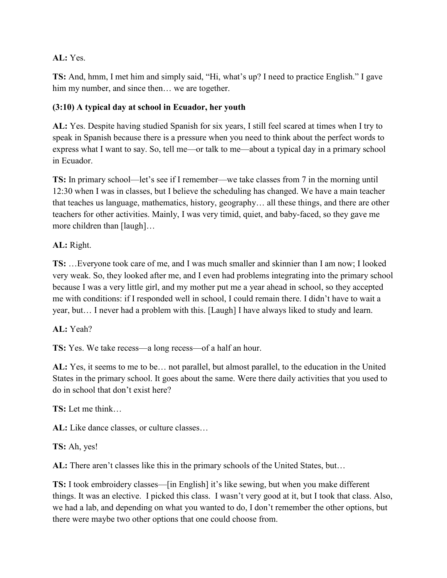## **AL:** Yes.

**TS:** And, hmm, I met him and simply said, "Hi, what's up? I need to practice English." I gave him my number, and since then... we are together.

# **(3:10) A typical day at school in Ecuador, her youth**

**AL:** Yes. Despite having studied Spanish for six years, I still feel scared at times when I try to speak in Spanish because there is a pressure when you need to think about the perfect words to express what I want to say. So, tell me—or talk to me—about a typical day in a primary school in Ecuador.

**TS:** In primary school—let's see if I remember—we take classes from 7 in the morning until 12:30 when I was in classes, but I believe the scheduling has changed. We have a main teacher that teaches us language, mathematics, history, geography… all these things, and there are other teachers for other activities. Mainly, I was very timid, quiet, and baby-faced, so they gave me more children than [laugh]...

**AL:** Right.

**TS:** …Everyone took care of me, and I was much smaller and skinnier than I am now; I looked very weak. So, they looked after me, and I even had problems integrating into the primary school because I was a very little girl, and my mother put me a year ahead in school, so they accepted me with conditions: if I responded well in school, I could remain there. I didn't have to wait a year, but… I never had a problem with this. [Laugh] I have always liked to study and learn.

**AL:** Yeah?

**TS:** Yes. We take recess—a long recess—of a half an hour.

**AL:** Yes, it seems to me to be… not parallel, but almost parallel, to the education in the United States in the primary school. It goes about the same. Were there daily activities that you used to do in school that don't exist here?

**TS:** Let me think…

**AL:** Like dance classes, or culture classes…

**TS:** Ah, yes!

**AL:** There aren't classes like this in the primary schools of the United States, but…

**TS:** I took embroidery classes—[in English] it's like sewing, but when you make different things. It was an elective. I picked this class. I wasn't very good at it, but I took that class. Also, we had a lab, and depending on what you wanted to do, I don't remember the other options, but there were maybe two other options that one could choose from.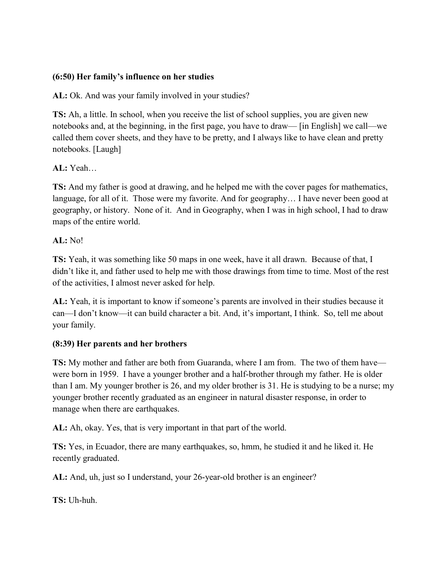### **(6:50) Her family's influence on her studies**

**AL:** Ok. And was your family involved in your studies?

**TS:** Ah, a little. In school, when you receive the list of school supplies, you are given new notebooks and, at the beginning, in the first page, you have to draw— [in English] we call—we called them cover sheets, and they have to be pretty, and I always like to have clean and pretty notebooks. [Laugh]

## **AL:** Yeah…

**TS:** And my father is good at drawing, and he helped me with the cover pages for mathematics, language, for all of it. Those were my favorite. And for geography… I have never been good at geography, or history. None of it. And in Geography, when I was in high school, I had to draw maps of the entire world.

### **AL:** No!

**TS:** Yeah, it was something like 50 maps in one week, have it all drawn. Because of that, I didn't like it, and father used to help me with those drawings from time to time. Most of the rest of the activities, I almost never asked for help.

**AL:** Yeah, it is important to know if someone's parents are involved in their studies because it can—I don't know—it can build character a bit. And, it's important, I think. So, tell me about your family.

### **(8:39) Her parents and her brothers**

**TS:** My mother and father are both from Guaranda, where I am from. The two of them have were born in 1959. I have a younger brother and a half-brother through my father. He is older than I am. My younger brother is 26, and my older brother is 31. He is studying to be a nurse; my younger brother recently graduated as an engineer in natural disaster response, in order to manage when there are earthquakes.

**AL:** Ah, okay. Yes, that is very important in that part of the world.

**TS:** Yes, in Ecuador, there are many earthquakes, so, hmm, he studied it and he liked it. He recently graduated.

**AL:** And, uh, just so I understand, your 26-year-old brother is an engineer?

**TS:** Uh-huh.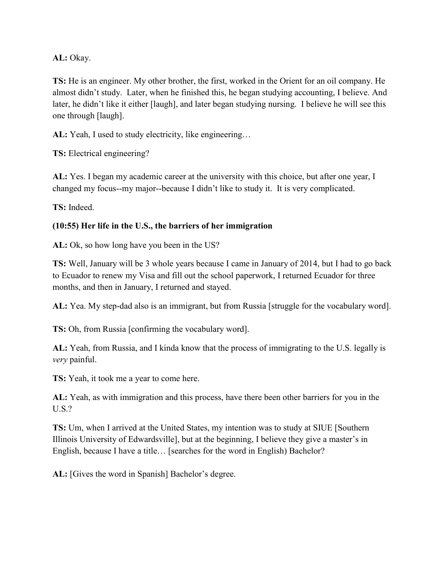**AL:** Okay.

**TS:** He is an engineer. My other brother, the first, worked in the Orient for an oil company. He almost didn't study. Later, when he finished this, he began studying accounting, I believe. And later, he didn't like it either [laugh], and later began studying nursing. I believe he will see this one through [laugh].

**AL:** Yeah, I used to study electricity, like engineering…

**TS:** Electrical engineering?

**AL:** Yes. I began my academic career at the university with this choice, but after one year, I changed my focus--my major--because I didn't like to study it. It is very complicated.

**TS:** Indeed.

## **(10:55) Her life in the U.S., the barriers of her immigration**

**AL:** Ok, so how long have you been in the US?

**TS:** Well, January will be 3 whole years because I came in January of 2014, but I had to go back to Ecuador to renew my Visa and fill out the school paperwork, I returned Ecuador for three months, and then in January, I returned and stayed.

**AL:** Yea. My step-dad also is an immigrant, but from Russia [struggle for the vocabulary word].

**TS:** Oh, from Russia [confirming the vocabulary word].

**AL:** Yeah, from Russia, and I kinda know that the process of immigrating to the U.S. legally is *very* painful.

**TS:** Yeah, it took me a year to come here.

**AL:** Yeah, as with immigration and this process, have there been other barriers for you in the U.S.?

**TS:** Um, when I arrived at the United States, my intention was to study at SIUE [Southern Illinois University of Edwardsville], but at the beginning, I believe they give a master's in English, because I have a title… [searches for the word in English) Bachelor?

**AL:** [Gives the word in Spanish] Bachelor's degree.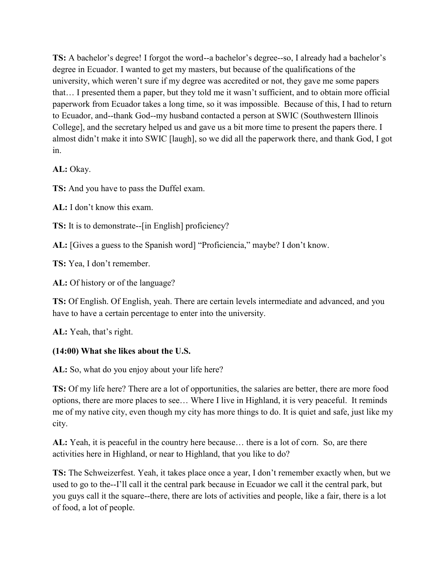**TS:** A bachelor's degree! I forgot the word--a bachelor's degree--so, I already had a bachelor's degree in Ecuador. I wanted to get my masters, but because of the qualifications of the university, which weren't sure if my degree was accredited or not, they gave me some papers that… I presented them a paper, but they told me it wasn't sufficient, and to obtain more official paperwork from Ecuador takes a long time, so it was impossible. Because of this, I had to return to Ecuador, and--thank God--my husband contacted a person at SWIC (Southwestern Illinois College], and the secretary helped us and gave us a bit more time to present the papers there. I almost didn't make it into SWIC [laugh], so we did all the paperwork there, and thank God, I got in.

**AL:** Okay.

**TS:** And you have to pass the Duffel exam.

**AL:** I don't know this exam.

**TS:** It is to demonstrate--[in English] proficiency?

**AL:** [Gives a guess to the Spanish word] "Proficiencia," maybe? I don't know.

**TS:** Yea, I don't remember.

**AL:** Of history or of the language?

**TS:** Of English. Of English, yeah. There are certain levels intermediate and advanced, and you have to have a certain percentage to enter into the university.

**AL:** Yeah, that's right.

### **(14:00) What she likes about the U.S.**

**AL:** So, what do you enjoy about your life here?

**TS:** Of my life here? There are a lot of opportunities, the salaries are better, there are more food options, there are more places to see… Where I live in Highland, it is very peaceful. It reminds me of my native city, even though my city has more things to do. It is quiet and safe, just like my city.

**AL:** Yeah, it is peaceful in the country here because… there is a lot of corn. So, are there activities here in Highland, or near to Highland, that you like to do?

**TS:** The Schweizerfest. Yeah, it takes place once a year, I don't remember exactly when, but we used to go to the--I'll call it the central park because in Ecuador we call it the central park, but you guys call it the square--there, there are lots of activities and people, like a fair, there is a lot of food, a lot of people.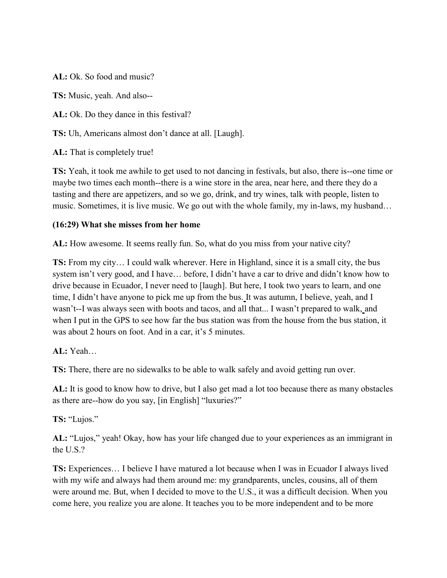**AL:** Ok. So food and music?

**TS:** Music, yeah. And also--

**AL:** Ok. Do they dance in this festival?

**TS:** Uh, Americans almost don't dance at all. [Laugh].

**AL:** That is completely true!

**TS:** Yeah, it took me awhile to get used to not dancing in festivals, but also, there is--one time or maybe two times each month--there is a wine store in the area, near here, and there they do a tasting and there are appetizers, and so we go, drink, and try wines, talk with people, listen to music. Sometimes, it is live music. We go out with the whole family, my in-laws, my husband…

#### **(16:29) What she misses from her home**

**AL:** How awesome. It seems really fun. So, what do you miss from your native city?

**TS:** From my city… I could walk wherever. Here in Highland, since it is a small city, the bus system isn't very good, and I have… before, I didn't have a car to drive and didn't know how to drive because in Ecuador, I never need to [laugh]. But here, I took two years to learn, and one time, I didn't have anyone to pick me up from the bus. It was autumn, I believe, yeah, and I wasn't--I was always seen with boots and tacos, and all that... I wasn't prepared to walk, and when I put in the GPS to see how far the bus station was from the house from the bus station, it was about 2 hours on foot. And in a car, it's 5 minutes.

**AL:** Yeah…

**TS:** There, there are no sidewalks to be able to walk safely and avoid getting run over.

**AL:** It is good to know how to drive, but I also get mad a lot too because there as many obstacles as there are--how do you say, [in English] "luxuries?"

**TS:** "Lujos."

**AL:** "Lujos," yeah! Okay, how has your life changed due to your experiences as an immigrant in the U.S.?

**TS:** Experiences… I believe I have matured a lot because when I was in Ecuador I always lived with my wife and always had them around me: my grandparents, uncles, cousins, all of them were around me. But, when I decided to move to the U.S., it was a difficult decision. When you come here, you realize you are alone. It teaches you to be more independent and to be more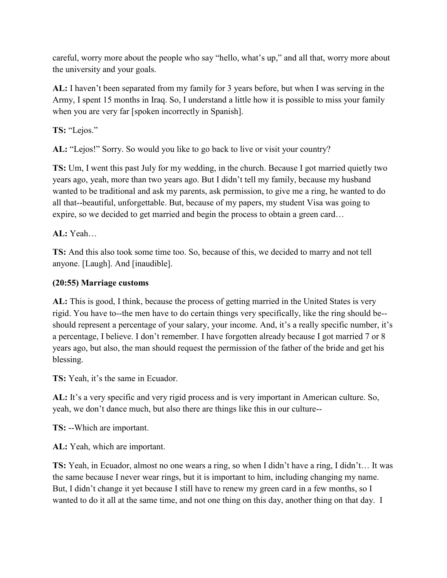careful, worry more about the people who say "hello, what's up," and all that, worry more about the university and your goals.

**AL:** I haven't been separated from my family for 3 years before, but when I was serving in the Army, I spent 15 months in Iraq. So, I understand a little how it is possible to miss your family when you are very far [spoken incorrectly in Spanish].

**TS:** "Lejos."

**AL:** "Lejos!" Sorry. So would you like to go back to live or visit your country?

**TS:** Um, I went this past July for my wedding, in the church. Because I got married quietly two years ago, yeah, more than two years ago. But I didn't tell my family, because my husband wanted to be traditional and ask my parents, ask permission, to give me a ring, he wanted to do all that--beautiful, unforgettable. But, because of my papers, my student Visa was going to expire, so we decided to get married and begin the process to obtain a green card…

**AL:** Yeah…

**TS:** And this also took some time too. So, because of this, we decided to marry and not tell anyone. [Laugh]. And [inaudible].

# **(20:55) Marriage customs**

**AL:** This is good, I think, because the process of getting married in the United States is very rigid. You have to--the men have to do certain things very specifically, like the ring should be- should represent a percentage of your salary, your income. And, it's a really specific number, it's a percentage, I believe. I don't remember. I have forgotten already because I got married 7 or 8 years ago, but also, the man should request the permission of the father of the bride and get his blessing.

**TS:** Yeah, it's the same in Ecuador.

**AL:** It's a very specific and very rigid process and is very important in American culture. So, yeah, we don't dance much, but also there are things like this in our culture--

**TS:** --Which are important.

**AL:** Yeah, which are important.

**TS:** Yeah, in Ecuador, almost no one wears a ring, so when I didn't have a ring, I didn't… It was the same because I never wear rings, but it is important to him, including changing my name. But, I didn't change it yet because I still have to renew my green card in a few months, so I wanted to do it all at the same time, and not one thing on this day, another thing on that day. I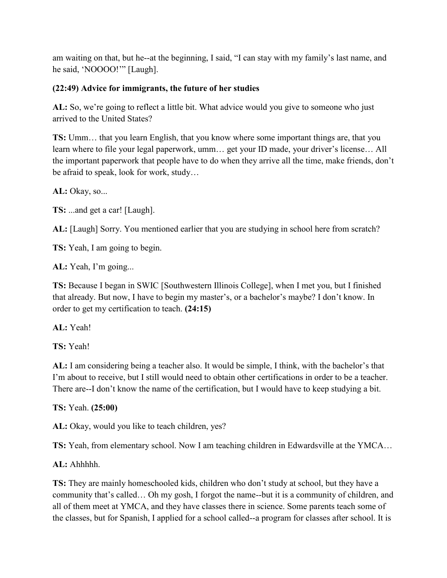am waiting on that, but he--at the beginning, I said, "I can stay with my family's last name, and he said, 'NOOOO!'" [Laugh].

## **(22:49) Advice for immigrants, the future of her studies**

**AL:** So, we're going to reflect a little bit. What advice would you give to someone who just arrived to the United States?

**TS:** Umm… that you learn English, that you know where some important things are, that you learn where to file your legal paperwork, umm… get your ID made, your driver's license… All the important paperwork that people have to do when they arrive all the time, make friends, don't be afraid to speak, look for work, study…

**AL:** Okay, so...

**TS:** ...and get a car! [Laugh].

**AL:** [Laugh] Sorry. You mentioned earlier that you are studying in school here from scratch?

**TS:** Yeah, I am going to begin.

**AL:** Yeah, I'm going...

**TS:** Because I began in SWIC [Southwestern Illinois College], when I met you, but I finished that already. But now, I have to begin my master's, or a bachelor's maybe? I don't know. In order to get my certification to teach. **(24:15)**

**AL:** Yeah!

**TS:** Yeah!

**AL:** I am considering being a teacher also. It would be simple, I think, with the bachelor's that I'm about to receive, but I still would need to obtain other certifications in order to be a teacher. There are--I don't know the name of the certification, but I would have to keep studying a bit.

**TS:** Yeah. **(25:00)**

**AL:** Okay, would you like to teach children, yes?

**TS:** Yeah, from elementary school. Now I am teaching children in Edwardsville at the YMCA…

**AL:** Ahhhhh.

**TS:** They are mainly homeschooled kids, children who don't study at school, but they have a community that's called… Oh my gosh, I forgot the name--but it is a community of children, and all of them meet at YMCA, and they have classes there in science. Some parents teach some of the classes, but for Spanish, I applied for a school called--a program for classes after school. It is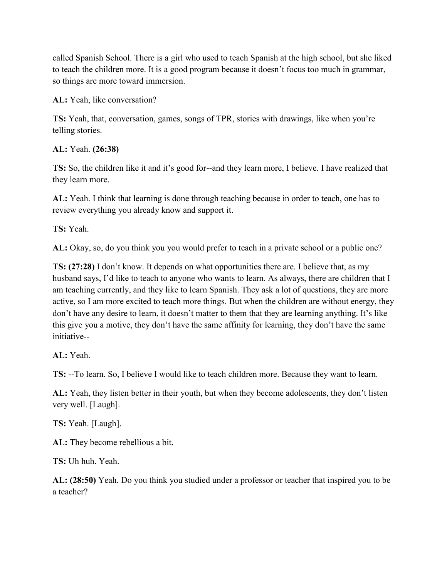called Spanish School. There is a girl who used to teach Spanish at the high school, but she liked to teach the children more. It is a good program because it doesn't focus too much in grammar, so things are more toward immersion.

**AL:** Yeah, like conversation?

**TS:** Yeah, that, conversation, games, songs of TPR, stories with drawings, like when you're telling stories.

**AL:** Yeah. **(26:38)**

**TS:** So, the children like it and it's good for--and they learn more, I believe. I have realized that they learn more.

**AL:** Yeah. I think that learning is done through teaching because in order to teach, one has to review everything you already know and support it.

**TS:** Yeah.

**AL:** Okay, so, do you think you you would prefer to teach in a private school or a public one?

**TS: (27:28)** I don't know. It depends on what opportunities there are. I believe that, as my husband says, I'd like to teach to anyone who wants to learn. As always, there are children that I am teaching currently, and they like to learn Spanish. They ask a lot of questions, they are more active, so I am more excited to teach more things. But when the children are without energy, they don't have any desire to learn, it doesn't matter to them that they are learning anything. It's like this give you a motive, they don't have the same affinity for learning, they don't have the same initiative--

**AL:** Yeah.

**TS:** --To learn. So, I believe I would like to teach children more. Because they want to learn.

**AL:** Yeah, they listen better in their youth, but when they become adolescents, they don't listen very well. [Laugh].

**TS:** Yeah. [Laugh].

**AL:** They become rebellious a bit.

**TS:** Uh huh. Yeah.

**AL: (28:50)** Yeah. Do you think you studied under a professor or teacher that inspired you to be a teacher?